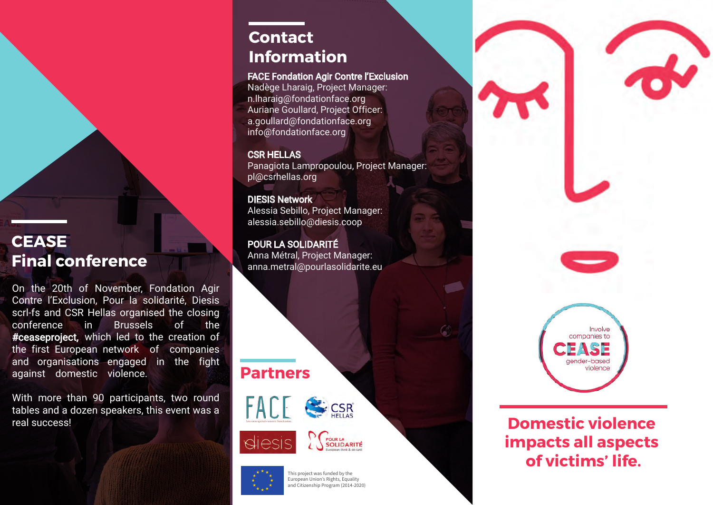### **CEASE Final conference**

On the 20th of November, [Fondation Agir](http://fondationface.org/)  Contre l'Exclusion, [Pour la solidarité,](https://www.pourlasolidarite.eu/en) [Diesis](www.diesis.coop)  scrl-fs and [CSR Hellas](https://csrhellas.org/) organised the closing conference in Brussels of the #ceaseproject, which led to the creation of the first European network of companies and organisations engaged in the fight against domestic violence.

With more than 90 participants, two round tables and a dozen speakers, this event was a real success!

### **Contact Information**

#### FACE Fondation Agir Contre l'Exclusion

Nadège Lharaig, Project Manager: n.lharaig@fondationface.org Auriane Goullard, Project Officer: a.goullard@fondationface.org info@fondationface.org

#### CSR HELLAS

Panagiota Lampropoulou, Project Manager: pl@csrhellas.org

DIESIS Network Alessia Sebillo, Project Manager: alessia.sebillo@diesis.coop

#### POUR LA SOLIDARITÉ Anna Métral, Project Manager: anna.metral@pourlasolidarite.eu

### **Partners**







This project was funded by the European Union's Rights, Equality and Citizenship Program (2014-2020)



## **Domestic violence impacts all aspects of victims' life.**